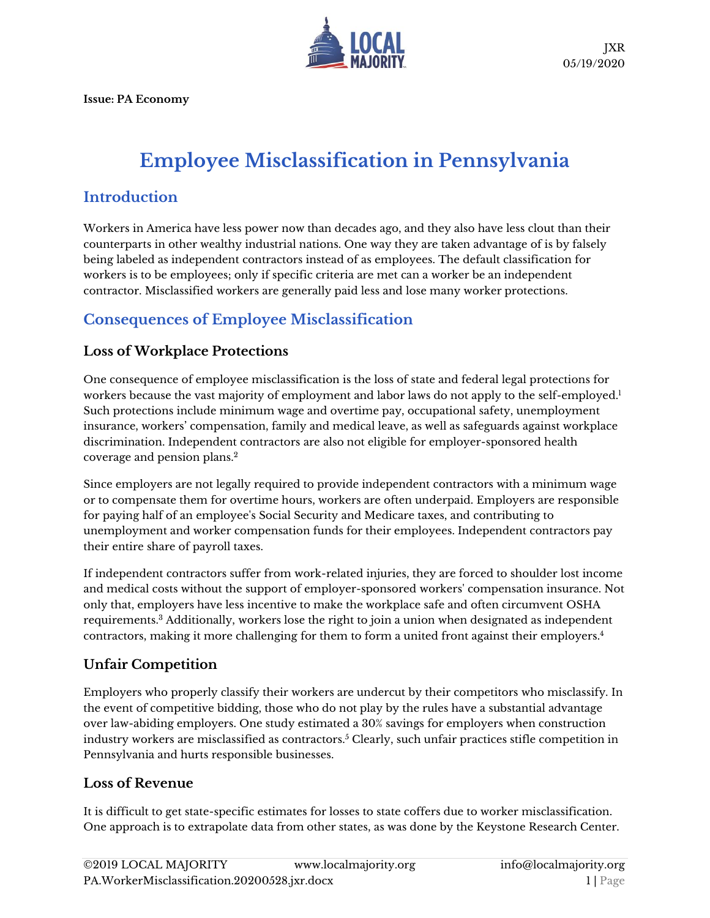

**Issue: PA Economy**

# **Employee Misclassification in Pennsylvania**

### **Introduction**

Workers in America have less power now than decades ago, and they also have less clout than their counterparts in other wealthy industrial nations. One way they are taken advantage of is by falsely being labeled as independent contractors instead of as employees. The default classification for workers is to be employees; only if specific criteria are met can a worker be an independent contractor. Misclassified workers are generally paid less and lose many worker protections.

# **Consequences of Employee Misclassification**

#### **Loss of Workplace Protections**

One consequence of employee misclassification is the loss of state and federal legal protections for workers because the vast majority of employment and labor laws do not apply to the self-employed.<sup>1</sup> Such protections include minimum wage and overtime pay, occupational safety, unemployment insurance, workers' compensation, family and medical leave, as well as safeguards against workplace discrimination. Independent contractors are also not eligible for employer-sponsored health coverage and pension plans. 2

Since employers are not legally required to provide independent contractors with a minimum wage or to compensate them for overtime hours, workers are often underpaid. Employers are responsible for paying half of an employee's Social Security and Medicare taxes, and contributing to unemployment and worker compensation funds for their employees. Independent contractors pay their entire share of payroll taxes.

If independent contractors suffer from work-related injuries, they are forced to shoulder lost income and medical costs without the support of employer-sponsored workers' compensation insurance. Not only that, employers have less incentive to make the workplace safe and often circumvent OSHA requirements.<sup>3</sup> Additionally, workers lose the right to join a union when designated as independent contractors, making it more challenging for them to form a united front against their employers.<sup>4</sup>

#### **Unfair Competition**

Employers who properly classify their workers are undercut by their competitors who misclassify. In the event of competitive bidding, those who do not play by the rules have a substantial advantage over law-abiding employers. One study estimated a 30% savings for employers when construction industry workers are misclassified as contractors. $^5$  Clearly, such unfair practices stifle competition in Pennsylvania and hurts responsible businesses.

#### **Loss of Revenue**

It is difficult to get state-specific estimates for losses to state coffers due to worker misclassification. One approach is to extrapolate data from other states, as was done by the Keystone Research Center.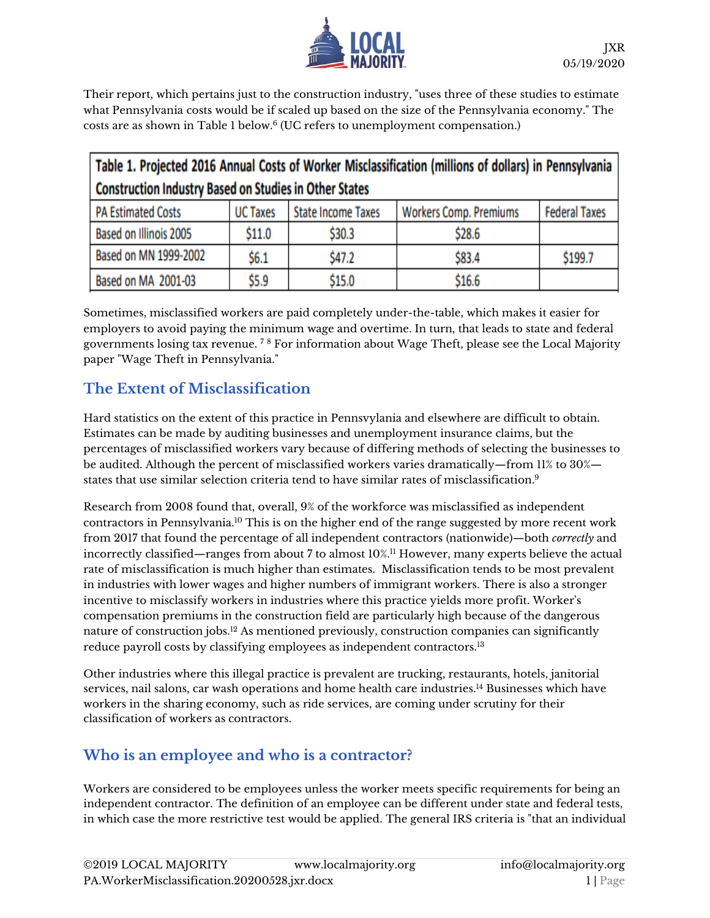

Their report, which pertains just to the construction industry, "uses three of these studies to estimate what Pennsylvania costs would be if scaled up based on the size of the Pennsylvania economy." The costs are as shown in Table 1 below. $^6$  (UC refers to unemployment compensation.)

| Table 1. Projected 2016 Annual Costs of Worker Misclassification (millions of dollars) in Pennsylvania |                 |                           |                               |                      |
|--------------------------------------------------------------------------------------------------------|-----------------|---------------------------|-------------------------------|----------------------|
| <b>Construction Industry Based on Studies in Other States</b>                                          |                 |                           |                               |                      |
| <b>PA Estimated Costs</b>                                                                              | <b>UC Taxes</b> | <b>State Income Taxes</b> | <b>Workers Comp. Premiums</b> | <b>Federal Taxes</b> |
| Based on Illinois 2005                                                                                 | \$11.0          | \$30.3                    | \$28.6                        |                      |
| Based on MN 1999-2002                                                                                  | \$6.1           | \$47.2                    | \$83.4                        | \$199.7              |
| Based on MA 2001-03                                                                                    | \$5.9           | \$15.0                    | \$16.6                        |                      |

Sometimes, misclassified workers are paid completely under-the-table, which makes it easier for employers to avoid paying the minimum wage and overtime. In turn, that leads to state and federal governments losing tax revenue. <sup>7</sup> <sup>8</sup> For information about Wage Theft, please see the Local Majority paper "Wage Theft in Pennsylvania."

# **The Extent of Misclassification**

Hard statistics on the extent of this practice in Pennsvylania and elsewhere are difficult to obtain. Estimates can be made by auditing businesses and unemployment insurance claims, but the percentages of misclassified workers vary because of differing methods of selecting the businesses to be audited. Although the percent of misclassified workers varies dramatically—from 11% to 30% states that use similar selection criteria tend to have similar rates of misclassification.<sup>9</sup>

Research from 2008 found that, overall, 9% of the workforce was misclassified as independent contractors in Pennsylvania.<sup>10</sup> This is on the higher end of the range suggested by more recent work from 2017 that found the percentage of all independent contractors (nationwide)—both *correctly* and incorrectly classified—ranges from about 7 to almost 10%.<sup>11</sup> However, many experts believe the actual rate of misclassification is much higher than estimates. Misclassification tends to be most prevalent in industries with lower wages and higher numbers of immigrant workers. There is also a stronger incentive to misclassify workers in industries where this practice yields more profit. Worker's compensation premiums in the construction field are particularly high because of the dangerous nature of construction jobs.<sup>12</sup> As mentioned previously, construction companies can significantly reduce payroll costs by classifying employees as independent contractors. 13

Other industries where this illegal practice is prevalent are trucking, restaurants, hotels, janitorial services, nail salons, car wash operations and home health care industries. <sup>14</sup> Businesses which have workers in the sharing economy, such as ride services, are coming under scrutiny for their classification of workers as contractors.

# **Who is an employee and who is a contractor?**

Workers are considered to be employees unless the worker meets specific requirements for being an independent contractor. The definition of an employee can be different under state and federal tests, in which case the more restrictive test would be applied. The general IRS criteria is "that an individual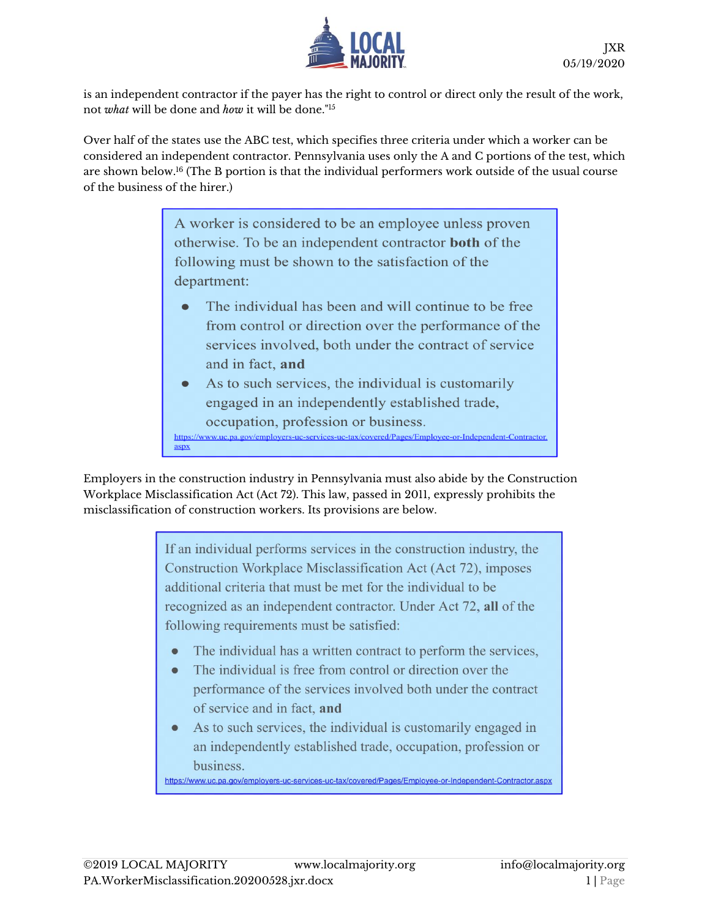

is an independent contractor if the payer has the right to control or direct only the result of the work, not *what* will be done and *how* it will be done."<sup>15</sup>

Over half of the states use the ABC test, which specifies three criteria under which a worker can be considered an independent contractor. Pennsylvania uses only the A and C portions of the test, which are shown below.<sup>16</sup> (The B portion is that the individual performers work outside of the usual course of the business of the hirer.)

> A worker is considered to be an employee unless proven otherwise. To be an independent contractor **both** of the following must be shown to the satisfaction of the department:

- The individual has been and will continue to be free from control or direction over the performance of the services involved, both under the contract of service and in fact, and
- As to such services, the individual is customarily engaged in an independently established trade, occupation, profession or business. https://www.uc.pa.gov/employers-uc-services-uc-tax/covered/Pages/Employee-or-Independent-Contractor.  $\frac{aspx}{aspx}$

Employers in the construction industry in Pennsylvania must also abide by the Construction Workplace Misclassification Act (Act 72). This law, passed in 2011, expressly prohibits the misclassification of construction workers. Its provisions are below.

> If an individual performs services in the construction industry, the Construction Workplace Misclassification Act (Act 72), imposes additional criteria that must be met for the individual to be recognized as an independent contractor. Under Act 72, all of the following requirements must be satisfied:

- The individual has a written contract to perform the services,
- The individual is free from control or direction over the  $\bullet$ performance of the services involved both under the contract of service and in fact, and
- As to such services, the individual is customarily engaged in an independently established trade, occupation, profession or business.

https://www.uc.pa.gov/employers-uc-services-uc-tax/covered/Pages/Employee-or-Independent-Contractor.aspx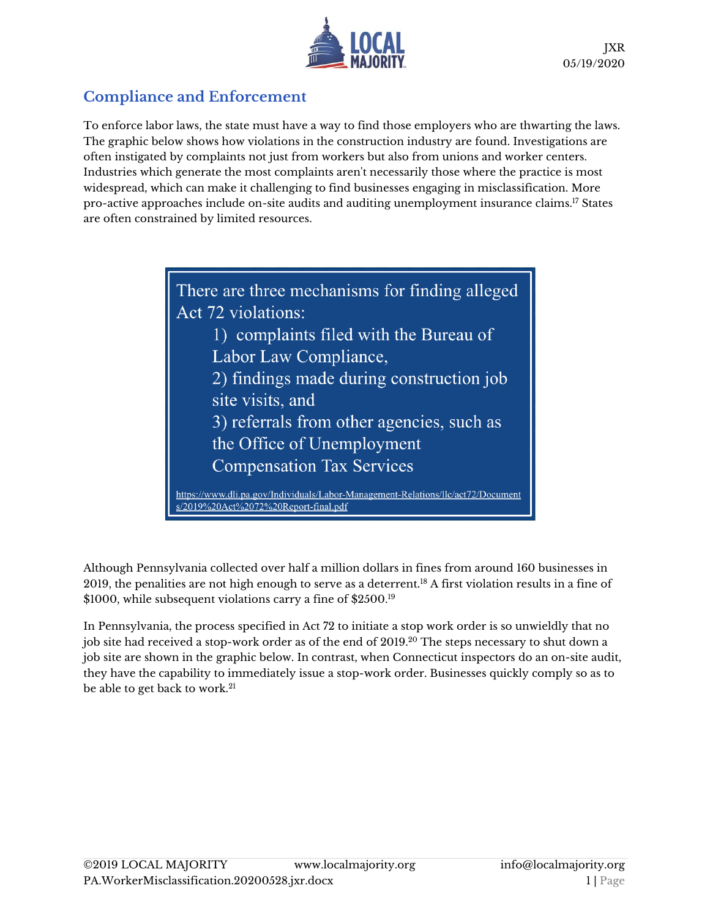

# **Compliance and Enforcement**

To enforce labor laws, the state must have a way to find those employers who are thwarting the laws. The graphic below shows how violations in the construction industry are found. Investigations are often instigated by complaints not just from workers but also from unions and worker centers. Industries which generate the most complaints aren't necessarily those where the practice is most widespread, which can make it challenging to find businesses engaging in misclassification. More pro-active approaches include on-site audits and auditing unemployment insurance claims.<sup>17</sup> States are often constrained by limited resources.

> There are three mechanisms for finding alleged Act 72 violations: 1) complaints filed with the Bureau of Labor Law Compliance, 2) findings made during construction job site visits, and 3) referrals from other agencies, such as the Office of Unemployment **Compensation Tax Services** https://www.dli.pa.gov/Individuals/Labor-Management-Relations/llc/act72/Document s/2019%20Act%2072%20Report-final.pdf

Although Pennsylvania collected over half a million dollars in fines from around 160 businesses in 2019, the penalities are not high enough to serve as a deterrent.<sup>18</sup> A first violation results in a fine of \$1000, while subsequent violations carry a fine of \$2500.<sup>19</sup>

In Pennsylvania, the process specified in Act 72 to initiate a stop work order is so unwieldly that no job site had received a stop-work order as of the end of 2019.<sup>20</sup> The steps necessary to shut down a job site are shown in the graphic below. In contrast, when Connecticut inspectors do an on-site audit, they have the capability to immediately issue a stop-work order. Businesses quickly comply so as to be able to get back to work.<sup>21</sup>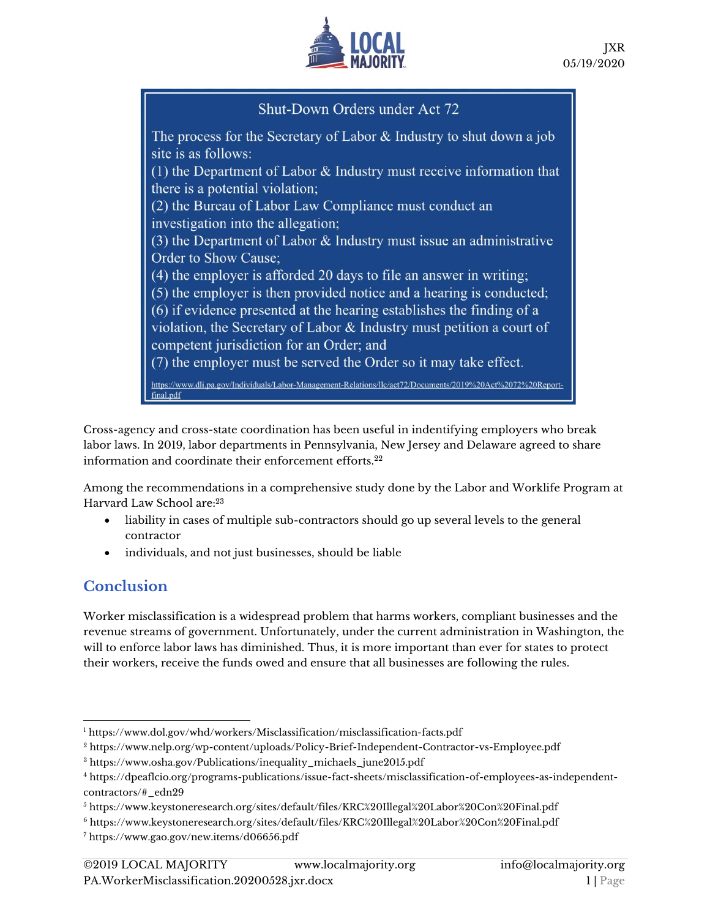

## Shut-Down Orders under Act 72

The process for the Secretary of Labor  $\&$  Industry to shut down a job site is as follows: (1) the Department of Labor  $\&$  Industry must receive information that there is a potential violation; (2) the Bureau of Labor Law Compliance must conduct an investigation into the allegation; (3) the Department of Labor  $\&$  Industry must issue an administrative Order to Show Cause; (4) the employer is afforded 20 days to file an answer in writing: (5) the employer is then provided notice and a hearing is conducted; (6) if evidence presented at the hearing establishes the finding of a violation, the Secretary of Labor  $&$  Industry must petition a court of competent jurisdiction for an Order; and (7) the employer must be served the Order so it may take effect. https://www.dli.pa.gov/Individuals/Labor-Management-Relations/llc/act72/Documents/2019%20Act%2072%20Reportfinal.pdf

Cross-agency and cross-state coordination has been useful in indentifying employers who break labor laws. In 2019, labor departments in Pennsylvania, New Jersey and Delaware agreed to share information and coordinate their enforcement efforts.<sup>22</sup>

Among the recommendations in a comprehensive study done by the Labor and Worklife Program at Harvard Law School are:<sup>23</sup>

- liability in cases of multiple sub-contractors should go up several levels to the general contractor
- individuals, and not just businesses, should be liable

### **Conclusion**

Worker misclassification is a widespread problem that harms workers, compliant businesses and the revenue streams of government. Unfortunately, under the current administration in Washington, the will to enforce labor laws has diminished. Thus, it is more important than ever for states to protect their workers, receive the funds owed and ensure that all businesses are following the rules.

<sup>1</sup> [https://www.dol.gov/whd/workers/Misclassification/misclassification-facts.pdf](about:blank)

<sup>2</sup> [https://www.nelp.org/wp-content/uploads/Policy-Brief-Independent-Contractor-vs-Employee.pdf](about:blank)

<sup>3</sup> [https://www.osha.gov/Publications/inequality\\_michaels\\_june2015.pdf](about:blank)

<sup>4</sup> [https://dpeaflcio.org/programs-publications/issue-fact-sheets/misclassification-of-employees-as-independent](about:blank#_edn29)[contractors/#\\_edn29](about:blank#_edn29)

<sup>5</sup> [https://www.keystoneresearch.org/sites/default/files/KRC%20Illegal%20Labor%20Con%20Final.pdf](about:blank)

<sup>6</sup> [https://www.keystoneresearch.org/sites/default/files/KRC%20Illegal%20Labor%20Con%20Final.pdf](about:blank)

<sup>7</sup> [https://www.gao.gov/new.items/d06656.pdf](about:blank)